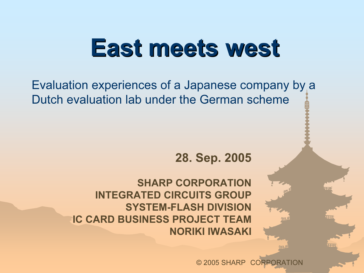# **East meets west**

Evaluation experiences of a Japanese company by a Dutch evaluation lab under the German scheme

28. Sep. 2005

SHARP CORPORATIONINTEGRATED CIRCUITS GROUPSYSTEM-FLASH DIVISION IC CARD BUSINESS PROJECT TEAMNORIKI IWASAKI

© 2005 SHARP CORPORAT

**TAE**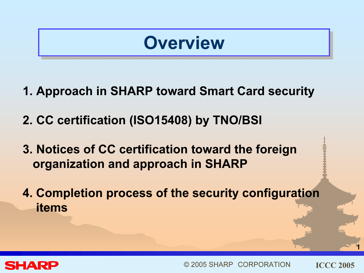## **Overview**

- 1. Approach in SHARP toward Smart Card security
- 2. CC certification (ISO15408) by TNO/BSI
- 3. Notices of CC certification toward the foreign organization and approach in SHARP
- 4. Completion process of the security configuration items



© 2005 SHARP CORPORATIONICCC 2005

1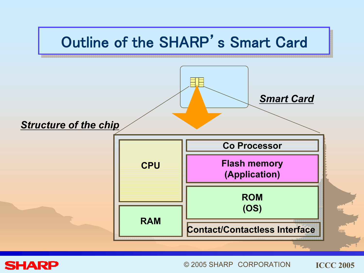

### **SHARP**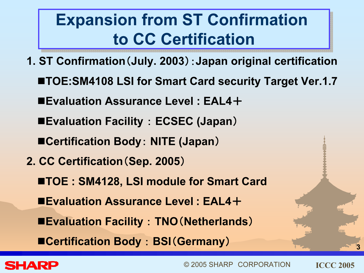## Expansion from ST Confirmation Expansion from ST Confirmation to CC Certification

1. ST Confirmation(July. 2003):Japan original certification ■TOE:SM4108 LSI for Smart Card security Target Ver.1.7 ■Evaluation Assurance Level: EAL4+ ■Evaluation Facility : ECSEC (Japan) ■Certification Body: NITE (Japan) 2. CC Certification(Sep. 2005) ■TOE : SM4128, LSI module for Smart Card  $\blacksquare$ Evaluation Assurance Level : EAL4 $+$ Evaluation Facility : TNO(Netherlands) ■Certification Body: BSI(Germany)

© 2005 SHARP CORPORATION

ICCC 2005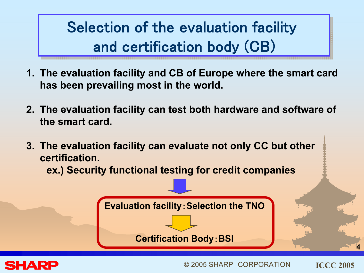Selection of the evaluation facility Selection of the evaluation facility and certification body (CB) and certification body (CB)

- 1. The evaluation facility and CB of Europe where the smart card has been prevailing most in the world.
- 2. The evaluation facility can test both hardware and software of the smart card.
- 3. The evaluation facility can evaluate not only CC but other certification.

ex.) Security functional testing for credit companies

Evaluation facility:Selection the TNO

Certification Body:BSI

© 2005 SHARP CORPORATIONICCC 2005

4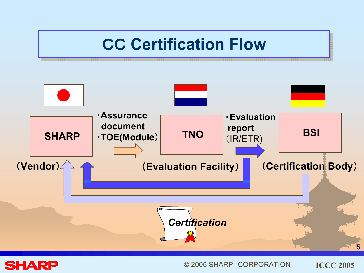

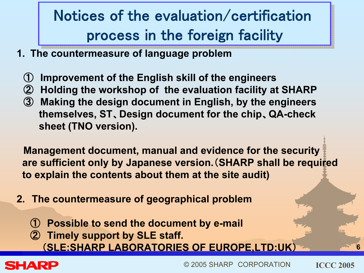## Notices of the evaluation/certification Notices of the evaluation/certification process in the foreign facility process in the foreign facility

- 1. The countermeasure of language problem
	- ① Improvement of the English skill of the engineers
	- ② Holding the workshop of the evaluation facility at SHARP
	- ③ Making the design document in English, by the engineers themselves, ST、Design document for the chip、QA-check sheet (TNO version).

Management document, manual and evidence for the security are sufficient only by Japanese version.(SHARP shall be required to explain the contents about them at the site audit)

2. The countermeasure of geographical problem

① Possible to send the document by e-mail ② Timely support by SLE staff. (SLE:SHARP LABORATORIES OF EUROPE,LTD:UK) <sup>6</sup>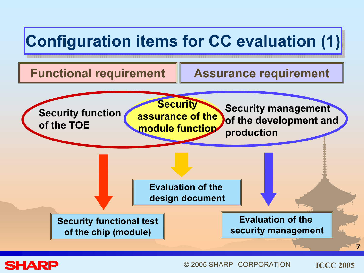

### SHARP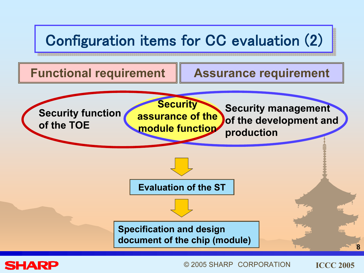

#### SHA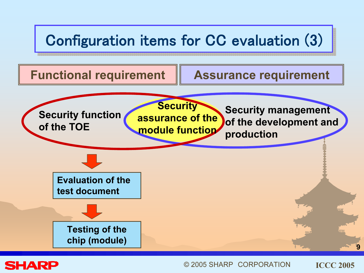

### SHARP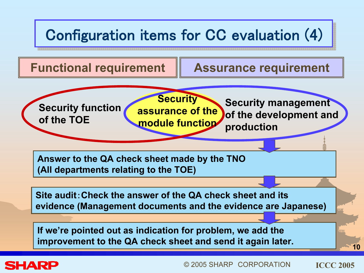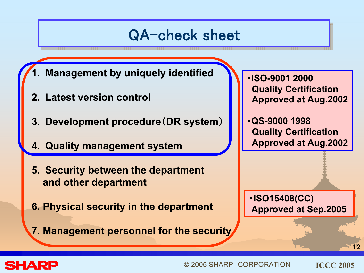### QA-check sheet

- . Management by uniquely identified
- 2. Latest version control
- 3. Development procedure(DR system)
- 4. Quality management system
- 5. Security between the department and other department
- 6. Physical security in the department
- 7. Management personnel for the security
- ・ISO-9001 2000 Quality Certification Approved at Aug.2002
- ・QS-9000 1998 Quality Certification Approved at Aug.2002

・ISO15408(CC) Approved at Sep.2005

12

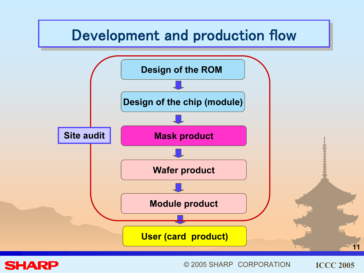

### SHA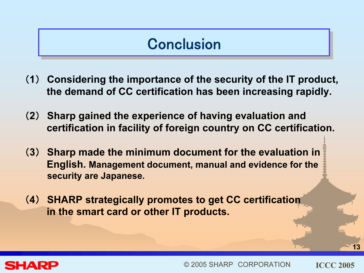### **Conclusion**

- (1) Considering the importance of the security of the IT product, the demand of CC certification has been increasing rapidly.
- (2) Sharp gained the experience of having evaluation and certification in facility of foreign country on CC certification.
- (3) Sharp made the minimum document for the evaluation in English. Management document, manual and evidence for the security are Japanese.
- (4) SHARP strategically promotes to get CC certification in the smart card or other IT products.



© 2005 SHARP CORPORATIONICCC 2005

13